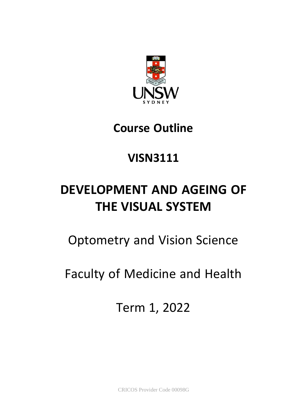

# **Course Outline**

# **VISN3111**

# **DEVELOPMENT AND AGEING OF THE VISUAL SYSTEM**

# Optometry and Vision Science

# Faculty of Medicine and Health

Term 1, 2022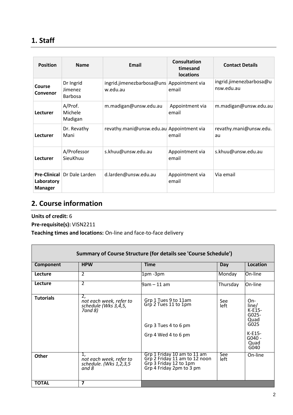# **1. Staff**

| <b>Position</b>              | <b>Name</b>                            | Email                                    | Consultation<br>timesand<br><b>locations</b> | <b>Contact Details</b>                |
|------------------------------|----------------------------------------|------------------------------------------|----------------------------------------------|---------------------------------------|
| Course<br>Convenor           | Dr Ingrid<br>Jimenez<br><b>Barbosa</b> | ingrid.jimenezbarbosa@uns<br>w.edu.au    | Appointment via<br>email                     | ingrid.jimenezbarbosa@u<br>nsw.edu.au |
| Lecturer                     | A/Prof.<br>Michele<br>Madigan          | m.madigan@unsw.edu.au                    | Appointment via<br>email                     | m.madigan@unsw.edu.au                 |
| Lecturer                     | Dr. Revathy<br>Mani                    | revathy.mani@unsw.edu.au Appointment via | email                                        | revathy.mani@unsw.edu.<br>au          |
| Lecturer                     | A/Professor<br>SieuKhuu                | s.khuu@unsw.edu.au                       | Appointment via<br>email                     | s.khuu@unsw.edu.au                    |
| Laboratory<br><b>Manager</b> | <b>Pre-Clinical Dr Dale Larden</b>     | d.larden@unsw.edu.au                     | Appointment via<br>email                     | Via email                             |

# **2. Course information**

**Units of credit:** 6

**Pre-requisite(s):** VISN2211

**Teaching times and locations:** On-line and face-to-face delivery

| <b>Summary of Course Structure (for details see 'Course Schedule')</b> |                                                                  |                                                                                                                    |             |                                                                                             |
|------------------------------------------------------------------------|------------------------------------------------------------------|--------------------------------------------------------------------------------------------------------------------|-------------|---------------------------------------------------------------------------------------------|
| Component                                                              | <b>HPW</b>                                                       | <b>Time</b>                                                                                                        | Day         | Location                                                                                    |
| Lecture                                                                | 2                                                                | 1pm-3pm                                                                                                            | Monday      | On-line                                                                                     |
| Lecture                                                                | $\overline{2}$                                                   | 9am – 11 am                                                                                                        | Thursday    | On-line                                                                                     |
| <b>Tutorials</b>                                                       | 2.<br>not each week, refer to<br>schedule (Wks 3,4,5,<br>7and 8) | Grp 1 Tues 9 to 11am<br>Grp 2 Tues 11 to 1pm<br>Grp 3 Tues 4 to 6 pm<br>Grp 4 Wed 4 to 6 pm                        | See<br>left | On-<br>line/<br>$K-E15-$<br>$G025-$<br>Quad<br>G025<br>$K-E15-$<br>$G040 -$<br>Quad<br>G040 |
| <b>Other</b>                                                           | 1,<br>not each week, refer to<br>schedule. (Wks 1,2,3,5<br>and 8 | Grp 1 Friday 10 am to 11 am<br>Grp 2 Friday 11 am to 12 noon<br>Grp 3 Friday 12 to 1pm<br>Grp 4 Friday 2pm to 3 pm | See<br>left | On-line                                                                                     |
| <b>TOTAL</b>                                                           | 7                                                                |                                                                                                                    |             |                                                                                             |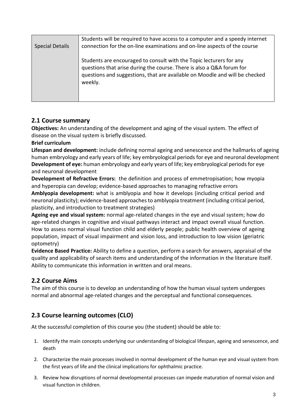| <b>Special Details</b> | Students will be required to have access to a computer and a speedy internet<br>connection for the on-line examinations and on-line aspects of the course                                                                              |
|------------------------|----------------------------------------------------------------------------------------------------------------------------------------------------------------------------------------------------------------------------------------|
|                        | Students are encouraged to consult with the Topic lecturers for any<br>questions that arise during the course. There is also a Q&A forum for<br>questions and suggestions, that are available on Moodle and will be checked<br>weekly. |

## **2.1 Course summary**

**Objectives:** An understanding of the development and aging of the visual system. The effect of disease on the visual system is briefly discussed.

**Brief curriculum**

**Lifespan and development:** include defining normal ageing and senescence and the hallmarks of ageing human embryology and early years of life; key embryological periods for eye and neuronal development **Development of eye:** human embryology and early years of life; key embryological periods for eye and neuronal development

**Development of Refractive Errors:** the definition and process of emmetropisation; how myopia and hyperopia can develop; evidence-based approaches to managing refractive errors

**Amblyopia development:** what is amblyopia and how it develops (including critical period and neuronal plasticity); evidence-based approaches to amblyopia treatment (including critical period, plasticity, and introduction to treatment strategies)

**Ageing eye and visual system:** normal age-related changes in the eye and visual system; how do age-related changes in cognitive and visual pathways interact and impact overall visual function. How to assess normal visual function child and elderly people; public health overview of ageing population, impact of visual impairment and vision loss, and introduction to low vision (geriatric optometry)

**Evidence Based Practice:** Ability to define a question, perform a search for answers, appraisal of the quality and applicability of search items and understanding of the information in the literature itself. Ability to communicate this information in written and oral means.

## **2.2 Course Aims**

The aim of this course is to develop an understanding of how the human visual system undergoes normal and abnormal age-related changes and the perceptual and functional consequences.

# **2.3 Course learning outcomes (CLO)**

At the successful completion of this course you (the student) should be able to:

- 1. Identify the main concepts underlying our understanding of biological lifespan, ageing and senescence, and death
- 2. Characterize the main processes involved in normal development of the human eye and visual system from the first years of life and the clinical implications for ophthalmic practice.
- 3. Review how disruptions of normal developmental processes can impede maturation of normal vision and visual function in children.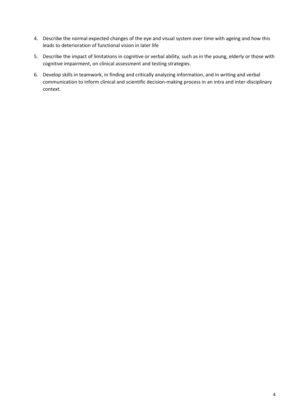- 4. Describe the normal expected changes of the eye and visual system over time with ageing and how this leads to deterioration of functional vision in later life
- 5. Describe the impact of limitations in cognitive or verbal ability, such as in the young, elderly or those with cognitive impairment, on clinical assessment and testing strategies.
- 6. Develop skills in teamwork, in finding and critically analyzing information, and in writing and verbal communication to inform clinical and scientific decision-making process in an intra and inter-disciplinary context.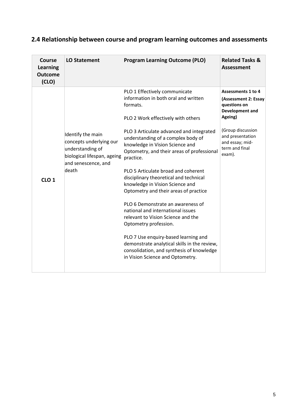| Course<br>Learning<br><b>Outcome</b><br>(CLO) | <b>LO Statement</b>                                                                                                             | <b>Program Learning Outcome (PLO)</b>                                                                                                                                                                                                                                                                                                                                                                                                                                                                                                                                                                                                                                                                                                                                                  | <b>Related Tasks &amp;</b><br><b>Assessment</b>                                                                                                                                         |
|-----------------------------------------------|---------------------------------------------------------------------------------------------------------------------------------|----------------------------------------------------------------------------------------------------------------------------------------------------------------------------------------------------------------------------------------------------------------------------------------------------------------------------------------------------------------------------------------------------------------------------------------------------------------------------------------------------------------------------------------------------------------------------------------------------------------------------------------------------------------------------------------------------------------------------------------------------------------------------------------|-----------------------------------------------------------------------------------------------------------------------------------------------------------------------------------------|
| CLO <sub>1</sub>                              | Identify the main<br>concepts underlying our<br>understanding of<br>biological lifespan, ageing<br>and senescence, and<br>death | PLO 1 Effectively communicate<br>information in both oral and written<br>formats.<br>PLO 2 Work effectively with others<br>PLO 3 Articulate advanced and integrated<br>understanding of a complex body of<br>knowledge in Vision Science and<br>Optometry, and their areas of professional<br>practice.<br>PLO 5 Articulate broad and coherent<br>disciplinary theoretical and technical<br>knowledge in Vision Science and<br>Optometry and their areas of practice<br>PLO 6 Demonstrate an awareness of<br>national and international issues<br>relevant to Vision Science and the<br>Optometry profession.<br>PLO 7 Use enquiry-based learning and<br>demonstrate analytical skills in the review,<br>consolidation, and synthesis of knowledge<br>in Vision Science and Optometry. | <b>Assessments 1 to 4</b><br>(Assessment 2: Essay<br>questions on<br>Development and<br>Ageing)<br>(Group discussion<br>and presentation<br>and essay; mid-<br>term and final<br>exam). |
|                                               |                                                                                                                                 |                                                                                                                                                                                                                                                                                                                                                                                                                                                                                                                                                                                                                                                                                                                                                                                        |                                                                                                                                                                                         |

# **2.4 Relationship between course and program learning outcomes and assessments**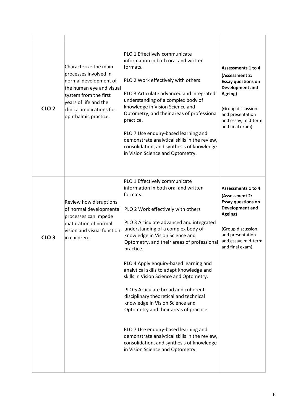| CLO <sub>2</sub> | Characterize the main<br>processes involved in<br>normal development of<br>the human eye and visual<br>system from the first<br>years of life and the<br>clinical implications for<br>ophthalmic practice. | PLO 1 Effectively communicate<br>information in both oral and written<br>formats.<br>PLO 2 Work effectively with others<br>PLO 3 Articulate advanced and integrated<br>understanding of a complex body of<br>knowledge in Vision Science and<br>Optometry, and their areas of professional<br>practice.<br>PLO 7 Use enquiry-based learning and<br>demonstrate analytical skills in the review,<br>consolidation, and synthesis of knowledge<br>in Vision Science and Optometry.                                                                                                                                                                                                                                                                                               | Assessments 1 to 4<br>(Assessment 2:<br><b>Essay questions on</b><br>Development and<br>Ageing)<br>(Group discussion<br>and presentation<br>and essay; mid-term<br>and final exam).        |
|------------------|------------------------------------------------------------------------------------------------------------------------------------------------------------------------------------------------------------|--------------------------------------------------------------------------------------------------------------------------------------------------------------------------------------------------------------------------------------------------------------------------------------------------------------------------------------------------------------------------------------------------------------------------------------------------------------------------------------------------------------------------------------------------------------------------------------------------------------------------------------------------------------------------------------------------------------------------------------------------------------------------------|--------------------------------------------------------------------------------------------------------------------------------------------------------------------------------------------|
| CLO <sub>3</sub> | Review how disruptions<br>of normal developmental<br>processes can impede<br>maturation of normal<br>vision and visual function<br>in children.                                                            | PLO 1 Effectively communicate<br>information in both oral and written<br>formats.<br>PLO 2 Work effectively with others<br>PLO 3 Articulate advanced and integrated<br>understanding of a complex body of<br>knowledge in Vision Science and<br>Optometry, and their areas of professional<br>practice.<br>PLO 4 Apply enquiry-based learning and<br>analytical skills to adapt knowledge and<br>skills in Vision Science and Optometry.<br>PLO 5 Articulate broad and coherent<br>disciplinary theoretical and technical<br>knowledge in Vision Science and<br>Optometry and their areas of practice<br>PLO 7 Use enquiry-based learning and<br>demonstrate analytical skills in the review,<br>consolidation, and synthesis of knowledge<br>in Vision Science and Optometry. | <b>Assessments 1 to 4</b><br>(Assessment 2:<br><b>Essay questions on</b><br>Development and<br>Ageing)<br>(Group discussion<br>and presentation<br>and essay; mid-term<br>and final exam). |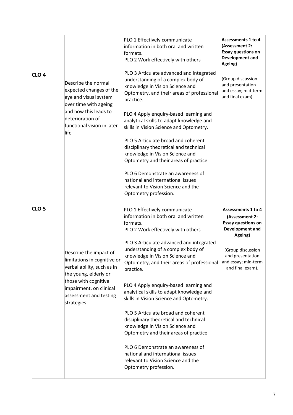| CLO <sub>4</sub> | Describe the normal<br>expected changes of the<br>eye and visual system<br>over time with ageing<br>and how this leads to<br>deterioration of<br>functional vision in later<br>life                      | PLO 1 Effectively communicate<br>information in both oral and written<br>formats.<br>PLO 2 Work effectively with others<br>PLO 3 Articulate advanced and integrated<br>understanding of a complex body of<br>knowledge in Vision Science and<br>Optometry, and their areas of professional<br>practice.<br>PLO 4 Apply enquiry-based learning and<br>analytical skills to adapt knowledge and<br>skills in Vision Science and Optometry.<br>PLO 5 Articulate broad and coherent<br>disciplinary theoretical and technical<br>knowledge in Vision Science and<br>Optometry and their areas of practice<br>PLO 6 Demonstrate an awareness of<br>national and international issues<br>relevant to Vision Science and the<br>Optometry profession. | <b>Assessments 1 to 4</b><br>(Assessment 2:<br><b>Essay questions on</b><br>Development and<br>Ageing)<br>(Group discussion<br>and presentation<br>and essay; mid-term<br>and final exam). |
|------------------|----------------------------------------------------------------------------------------------------------------------------------------------------------------------------------------------------------|------------------------------------------------------------------------------------------------------------------------------------------------------------------------------------------------------------------------------------------------------------------------------------------------------------------------------------------------------------------------------------------------------------------------------------------------------------------------------------------------------------------------------------------------------------------------------------------------------------------------------------------------------------------------------------------------------------------------------------------------|--------------------------------------------------------------------------------------------------------------------------------------------------------------------------------------------|
| CLO <sub>5</sub> | Describe the impact of<br>limitations in cognitive or<br>verbal ability, such as in<br>the young, elderly or<br>those with cognitive<br>impairment, on clinical<br>assessment and testing<br>strategies. | PLO 1 Effectively communicate<br>information in both oral and written<br>formats.<br>PLO 2 Work effectively with others<br>PLO 3 Articulate advanced and integrated<br>understanding of a complex body of<br>knowledge in Vision Science and<br>Optometry, and their areas of professional<br>practice.<br>PLO 4 Apply enquiry-based learning and<br>analytical skills to adapt knowledge and<br>skills in Vision Science and Optometry.<br>PLO 5 Articulate broad and coherent<br>disciplinary theoretical and technical<br>knowledge in Vision Science and<br>Optometry and their areas of practice<br>PLO 6 Demonstrate an awareness of<br>national and international issues<br>relevant to Vision Science and the<br>Optometry profession. | <b>Assessments 1 to 4</b><br>(Assessment 2:<br><b>Essay questions on</b><br>Development and<br>Ageing)<br>(Group discussion<br>and presentation<br>and essay; mid-term<br>and final exam). |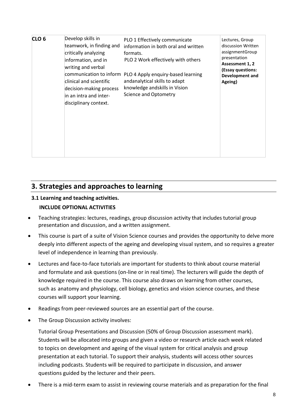| Develop skills in<br>CLO <sub>6</sub><br>teamwork, in finding and<br>critically analyzing<br>information, and in<br>writing and verbal<br>communication to inform<br>clinical and scientific<br>decision-making process<br>in an intra and inter-<br>disciplinary context. | PLO 1 Effectively communicate<br>information in both oral and written<br>formats.<br>PLO 2 Work effectively with others<br>PLO 4 Apply enquiry-based learning<br>andanalytical skills to adapt<br>knowledge andskills in Vision<br><b>Science and Optometry</b> | Lectures, Group<br>discussion Written<br>assignmentGroup<br>presentation<br>Assessment 1, 2<br>(Essay questions:<br>Development and<br>Ageing) |
|----------------------------------------------------------------------------------------------------------------------------------------------------------------------------------------------------------------------------------------------------------------------------|-----------------------------------------------------------------------------------------------------------------------------------------------------------------------------------------------------------------------------------------------------------------|------------------------------------------------------------------------------------------------------------------------------------------------|
|----------------------------------------------------------------------------------------------------------------------------------------------------------------------------------------------------------------------------------------------------------------------------|-----------------------------------------------------------------------------------------------------------------------------------------------------------------------------------------------------------------------------------------------------------------|------------------------------------------------------------------------------------------------------------------------------------------------|

# **3. Strategies and approaches to learning**

### **3.1 Learning and teaching activities.**

### **INCLUDE OPTIONAL ACTIVITIES**

- Teaching strategies: lectures, readings, group discussion activity that includes tutorial group presentation and discussion, and a written assignment.
- This course is part of a suite of Vision Science courses and provides the opportunity to delve more deeply into different aspects of the ageing and developing visual system, and so requires a greater level of independence in learning than previously.
- Lectures and face-to-face tutorials are important for students to think about course material and formulate and ask questions (on-line or in real time). The lecturers will guide the depth of knowledge required in the course. This course also draws on learning from other courses, such as anatomy and physiology, cell biology, genetics and vision science courses, and these courses will support your learning.
- Readings from peer-reviewed sources are an essential part of the course.
- The Group Discussion activity involves:

Tutorial Group Presentations and Discussion (50% of Group Discussion assessment mark). Students will be allocated into groups and given a video or research article each week related to topics on development and ageing of the visual system for critical analysis and group presentation at each tutorial. To support their analysis, students will access other sources including podcasts. Students will be required to participate in discussion, and answer questions guided by the lecturer and their peers.

• There is a mid-term exam to assist in reviewing course materials and as preparation for the final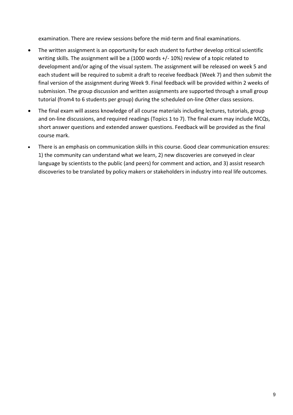examination. There are review sessions before the mid-term and final examinations.

- The written assignment is an opportunity for each student to further develop critical scientific writing skills. The assignment will be a (1000 words +/- 10%) review of a topic related to development and/or aging of the visual system. The assignment will be released on week 5 and each student will be required to submit a draft to receive feedback (Week 7) and then submit the final version of the assignment during Week 9. Final feedback will be provided within 2 weeks of submission. The group discussion and written assignments are supported through a small group tutorial (from4 to 6 students per group) during the scheduled on-line *Other* class sessions.
- The final exam will assess knowledge of all course materials including lectures, tutorials, group and on-line discussions, and required readings (Topics 1 to 7). The final exam may include MCQs, short answer questions and extended answer questions. Feedback will be provided as the final course mark.
- There is an emphasis on communication skills in this course. Good clear communication ensures: 1) the community can understand what we learn, 2) new discoveries are conveyed in clear language by scientists to the public (and peers) for comment and action, and 3) assist research discoveries to be translated by policy makers or stakeholders in industry into real life outcomes.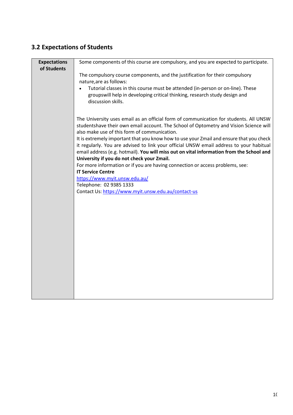# **3.2 Expectations of Students**

| <b>Expectations</b><br>of Students | Some components of this course are compulsory, and you are expected to participate.                                                                                                 |
|------------------------------------|-------------------------------------------------------------------------------------------------------------------------------------------------------------------------------------|
|                                    | The compulsory course components, and the justification for their compulsory                                                                                                        |
|                                    | nature, are as follows:                                                                                                                                                             |
|                                    | Tutorial classes in this course must be attended (in-person or on-line). These                                                                                                      |
|                                    | groupswill help in developing critical thinking, research study design and                                                                                                          |
|                                    | discussion skills.                                                                                                                                                                  |
|                                    | The University uses email as an official form of communication for students. All UNSW                                                                                               |
|                                    | studentshave their own email account. The School of Optometry and Vision Science will<br>also make use of this form of communication.                                               |
|                                    | It is extremely important that you know how to use your Zmail and ensure that you check                                                                                             |
|                                    | it regularly. You are advised to link your official UNSW email address to your habitual<br>email address (e.g. hotmail). You will miss out on vital information from the School and |
|                                    | University if you do not check your Zmail.                                                                                                                                          |
|                                    | For more information or if you are having connection or access problems, see:                                                                                                       |
|                                    | <b>IT Service Centre</b>                                                                                                                                                            |
|                                    | https://www.myit.unsw.edu.au/                                                                                                                                                       |
|                                    | Telephone: 02 9385 1333                                                                                                                                                             |
|                                    | Contact Us: https://www.myit.unsw.edu.au/contact-us                                                                                                                                 |
|                                    |                                                                                                                                                                                     |
|                                    |                                                                                                                                                                                     |
|                                    |                                                                                                                                                                                     |
|                                    |                                                                                                                                                                                     |
|                                    |                                                                                                                                                                                     |
|                                    |                                                                                                                                                                                     |
|                                    |                                                                                                                                                                                     |
|                                    |                                                                                                                                                                                     |
|                                    |                                                                                                                                                                                     |
|                                    |                                                                                                                                                                                     |
|                                    |                                                                                                                                                                                     |
|                                    |                                                                                                                                                                                     |
|                                    |                                                                                                                                                                                     |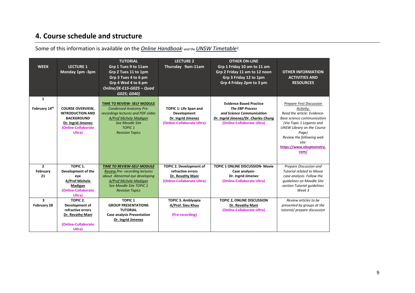# **4. Course schedule and structure**

Some of this information is available on the *Online Handbook<sup>1</sup> and the UNSW Timetable<sup>2</sup>.* 

| <b>WEEK</b>                   | <b>LECTURE 1</b><br>Monday 1pm -3pm                                                                                            | <b>TUTORIAL</b><br>Grp 1 Tues 9 to 11am<br>Grp 2 Tues 11 to 1pm<br>Grp 3 Tues 4 to 6 pm<br>Grp 4 Wed 4 to 6 pm<br>Online/(K-E15-G025 - Quad<br>G025; G040)                                         | <b>LECTURE 2</b><br>Thursday 9am-11am                                                     | <b>OTHER ON-LINE</b><br>Grp 1 Friday 10 am to 11 am<br>Grp 2 Friday 11 am to 12 noon<br>Grp 3 Friday 12 to 1pm<br>Grp 4 Friday 2pm to 3 pm                  | <b>OTHER INFORMATION</b><br><b>ACTIVITIES AND</b><br><b>RESOURCES</b>                                                                                                                                                                                 |
|-------------------------------|--------------------------------------------------------------------------------------------------------------------------------|----------------------------------------------------------------------------------------------------------------------------------------------------------------------------------------------------|-------------------------------------------------------------------------------------------|-------------------------------------------------------------------------------------------------------------------------------------------------------------|-------------------------------------------------------------------------------------------------------------------------------------------------------------------------------------------------------------------------------------------------------|
| $\mathbf{1}$<br>February 14th | <b>COURSE OVERVIEW,</b><br><b>INTRODUCTION AND</b><br><b>BACKGROUND</b><br>Dr. Ingrid Jimenez<br>(Online-Collaborate<br>Ultra) | <b>TIME TO REVIEW- SELF MODULE</b><br><b>Condensed Anatomy Pre-</b><br>recordings lectures and PDF slides<br>A/Prof Michele Madigan<br>See Moodle Site<br><b>TOPIC 1</b><br><b>Revision Topics</b> | TOPIC 1: Life Span and<br>Development<br>Dr. Ingrid Jimenez<br>(Online-Collaborate Ultra) | <b>Evidence Based Practice</b><br><b>The EBP Process</b><br>and Science Communication<br>Dr. Ingrid Jimenez/Dr. Charles Chung<br>(Online-Collaborate Ultra) | <b>Prepare First Discussion</b><br>Activity:<br>Read the article: Evidence-<br>Base science communication<br>(Via Topic 1 Leganto and<br>UNSW Library on the Course<br>Page)<br>Review the following web<br>site:<br>https://www.eboptometry.<br>com/ |
| $\overline{2}$                | TOPIC <sub>1</sub> .                                                                                                           | <b>TIME TO REVIEW-SELF MODULE</b>                                                                                                                                                                  | TOPIC 2. Development of                                                                   | <b>TOPIC 1 ONLINE DISCUSSION- Movie</b>                                                                                                                     | Prepare Discussion and                                                                                                                                                                                                                                |
| February                      | Development of the                                                                                                             | Review, Pre- recording lectures                                                                                                                                                                    | refractive errors                                                                         | Case analysis-                                                                                                                                              | <b>Tutorial related to Movie</b>                                                                                                                                                                                                                      |
| 21                            | eye                                                                                                                            | about Abnormal eye developing                                                                                                                                                                      | Dr. Revathy Mani                                                                          | Dr. Ingrid Jimenez                                                                                                                                          | case analysis- Follow the                                                                                                                                                                                                                             |
|                               | A/Prof Michele                                                                                                                 | A/Prof Michele Madigan                                                                                                                                                                             | (Online-Collaborate Ultra)                                                                | (Online-Collaborate Ultra)                                                                                                                                  | guidelines on Moodle Site                                                                                                                                                                                                                             |
|                               | Madigan<br>(Online-Collaborate                                                                                                 | See Moodle Site TOPIC 1<br><b>Revision Topics</b>                                                                                                                                                  |                                                                                           |                                                                                                                                                             | section Tutorial quidelines<br>Week 3                                                                                                                                                                                                                 |
|                               | Ultra)                                                                                                                         |                                                                                                                                                                                                    |                                                                                           |                                                                                                                                                             |                                                                                                                                                                                                                                                       |
| 3                             | TOPIC <sub>2</sub> .                                                                                                           | <b>TOPIC 1</b>                                                                                                                                                                                     | TOPIC 3. Amblyopia                                                                        | TOPIC 2, ONLINE DISCUSSION                                                                                                                                  | Review articles to be                                                                                                                                                                                                                                 |
| February 28                   | Development of                                                                                                                 | <b>GROUP PRESENTATIONS</b>                                                                                                                                                                         | A/Prof. Sieu Khuu                                                                         | Dr. Revathy Mani                                                                                                                                            | presented by groups at the                                                                                                                                                                                                                            |
|                               | refractive errors                                                                                                              | <b>TUTORIAL</b>                                                                                                                                                                                    |                                                                                           | (Online-Collaborate Ultra)                                                                                                                                  | tutorial/ prepare discussion                                                                                                                                                                                                                          |
|                               | Dr. Revathy Mani                                                                                                               | <b>Case analysis Presentation</b>                                                                                                                                                                  | (Pre-recording)                                                                           |                                                                                                                                                             |                                                                                                                                                                                                                                                       |
|                               |                                                                                                                                | Dr. Ingrid Jimenez                                                                                                                                                                                 |                                                                                           |                                                                                                                                                             |                                                                                                                                                                                                                                                       |
|                               | (Online-Collaborate                                                                                                            |                                                                                                                                                                                                    |                                                                                           |                                                                                                                                                             |                                                                                                                                                                                                                                                       |
|                               | Ultra)                                                                                                                         |                                                                                                                                                                                                    |                                                                                           |                                                                                                                                                             |                                                                                                                                                                                                                                                       |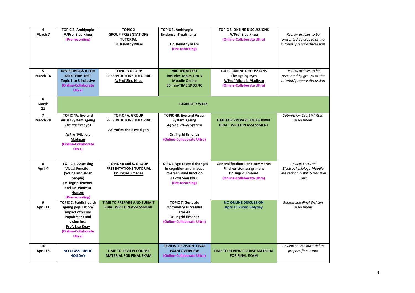| 4<br>March 7               | <b>TOPIC 3. Amblyopia</b><br>A/Prof Sieu Khuu<br>(Pre-recording)                                                                                             | <b>TOPIC 2</b><br><b>GROUP PRESENTATIONS</b><br><b>TUTORIAL</b><br>Dr. Revathy Mani | <b>TOPIC 3. Amblyopia</b><br><b>Evidence - Treatments</b><br>Dr. Revathy Mani<br>(Pre-recording)                                    | <b>TOPIC 3. ONLINE DISCUSSIONS</b><br>A/Prof Sieu Khuu<br>(Online-Collaborate Ultra)                                        | Review articles to be<br>presented by groups at the<br>tutorial/ prepare discussion   |
|----------------------------|--------------------------------------------------------------------------------------------------------------------------------------------------------------|-------------------------------------------------------------------------------------|-------------------------------------------------------------------------------------------------------------------------------------|-----------------------------------------------------------------------------------------------------------------------------|---------------------------------------------------------------------------------------|
| 5<br>March 14              | <b>REVISION Q &amp; A FOR</b><br><b>MID-TERM TEST</b><br>Topic 1 to 3 inclusive<br>(Online-Collaborate<br>Ultra)                                             | <b>TOPIC. 3 GROUP</b><br>PRESENTATIONS TUTORIAL<br>A/Prof Sieu Khuu                 | <b>MID TERM TEST</b><br>Includes Topics 1 to 3<br><b>Moodle Online</b><br><b>30 min-TIME SPECIFIC</b>                               | <b>TOPIC ONLINE DISCUSSIONS</b><br>The ageing eyes<br>A/Prof Michele Madigan<br>(Online-Collaborate Ultra)                  | Review articles to be<br>presented by groups at the<br>tutorial/ prepare discussion   |
| 6<br>March<br>21           |                                                                                                                                                              |                                                                                     | <b>FLEXIBILITY WEEK</b>                                                                                                             |                                                                                                                             |                                                                                       |
| $\overline{7}$<br>March 28 | TOPIC 4A. Eye and<br><b>Visual System ageing</b><br>The ageing eyes<br>A/Prof Michele<br>Madigan<br>(Online-Collaborate<br>Ultra)                            | <b>TOPIC 4A. GROUP</b><br>PRESENTATIONS TUTORIAL<br>A/Prof Michele Madigan          | <b>TOPIC 4B. Eye and Visual</b><br>System ageing<br><b>Ageing Visual System</b><br>Dr. Ingrid Jimenez<br>(Online-Collaborate Ultra) | TIME FOR PREPARE AND SUBMIT<br><b>DRAFT WRITTEN ASSESSMENT</b>                                                              | <b>Submission Draft Written</b><br>assessment                                         |
| 8<br>April 4               | <b>TOPIC 5. Assessing</b><br><b>Visual Function</b><br>(young and elder<br>people)<br>Dr. Ingrid Jimenez<br>and Dr. Vanessa<br>Honson<br>(Pre-recording)     | <b>TOPIC 4B and 5. GROUP</b><br>PRESENTATIONS TUTORIAL<br>Dr. Ingrid Jimenez        | <b>TOPIC 6 Age-related changes</b><br>in cognition and impact<br>overall visual function<br>A/Prof Sieu Khuu<br>(Pre-recording)     | <b>General feedback and comments</b><br><b>Final written assignment</b><br>Dr. Ingrid Jimenez<br>(Online-Collaborate Ultra) | Review Lecture:<br>Electrophysiology Moodle<br>Site section TOPIC 5 Revision<br>Topic |
| 9<br>April 11              | <b>TOPIC 7. Public health</b><br>ageing population/<br>impact of visual<br>impairment and<br>vision loss<br>Prof. Lisa Keay<br>(Online-Collaborate<br>Ultra) | TIME TO PREPARE AND SUBMIT<br><b>FINAL WRITTEN ASSESSMENT</b>                       | <b>TOPIC 7. Geriatric</b><br><b>Optometry successful</b><br>stories<br>Dr. Ingrid Jimenez<br>(Online-Collaborate Ultra)             | <b>NO ONLINE DISCUSSION</b><br><b>April 15 Public Holyday</b>                                                               | <b>Submission Final Written</b><br>assessment                                         |
| 10<br>April 18             | <b>NO CLASS PUBLIC</b><br><b>HOLIDAY</b>                                                                                                                     | <b>TIME TO REVIEW COURSE</b><br><b>MATERIAL FOR FINAL EXAM</b>                      | <b>REVIEW, REVISION, FINAL</b><br><b>EXAM OVERVIEW</b><br>(Online-Collaborate Ultra)                                                | <b>TIME TO REVIEW COURSE MATERIAL</b><br><b>FOR FINAL EXAM</b>                                                              | Review course material to<br>prepare final exam                                       |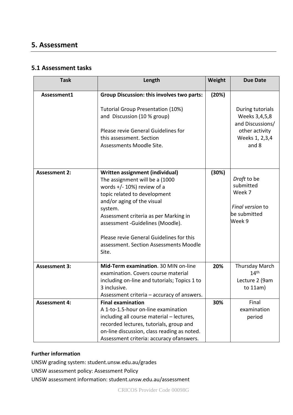## **5. Assessment**

### **5.1 Assessment tasks**

| <b>Task</b>          | Length                                                                                                                                                                                                                                                                                                                                                   | Weight | <b>Due Date</b>                                                                                    |
|----------------------|----------------------------------------------------------------------------------------------------------------------------------------------------------------------------------------------------------------------------------------------------------------------------------------------------------------------------------------------------------|--------|----------------------------------------------------------------------------------------------------|
| Assessment1          | <b>Group Discussion: this involves two parts:</b><br><b>Tutorial Group Presentation (10%)</b><br>and Discussion (10 % group)<br>Please revie General Guidelines for<br>this assessment. Section<br>Assessments Moodle Site.                                                                                                                              | (20%)  | During tutorials<br>Weeks 3,4,5,8<br>and Discussions/<br>other activity<br>Weeks 1, 2,3,4<br>and 8 |
| <b>Assessment 2:</b> | Written assignment (individual)<br>The assignment will be a (1000<br>words $+/- 10\%$ ) review of a<br>topic related to development<br>and/or aging of the visual<br>system.<br>Assessment criteria as per Marking in<br>assessment -Guidelines (Moodle).<br>Please revie General Guidelines for this<br>assessment. Section Assessments Moodle<br>Site. | (30%)  | Draft to be<br>submitted<br>Week 7<br>Final version to<br>be submitted<br>Week 9                   |
| <b>Assessment 3:</b> | Mid-Term examination. 30 MIN on-line<br>examination. Covers course material<br>including on-line and tutorials; Topics 1 to<br>3 inclusive.<br>Assessment criteria – accuracy of answers.                                                                                                                                                                | 20%    | <b>Thursday March</b><br>14 <sup>th</sup><br>Lecture 2 (9am<br>to $11am$ )                         |
| <b>Assessment 4:</b> | <b>Final examination</b><br>A 1-to-1.5-hour on-line examination<br>including all course material - lectures,<br>recorded lectures, tutorials, group and<br>on-line discussion, class reading as noted.<br>Assessment criteria: accuracy of answers.                                                                                                      | 30%    | Final<br>examination<br>period                                                                     |

### **Further information**

UNSW grading system: student.unsw.edu.au/grades

UNSW assessment policy: Assessment Policy

UNSW assessment information: student.unsw.edu.au/assessment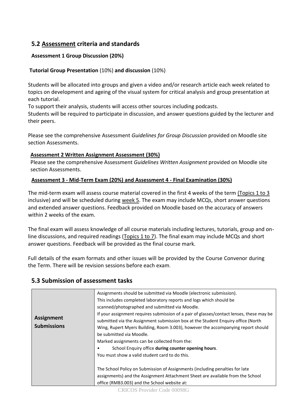## **5.2 Assessment criteria and standards**

### **Assessment 1 Group Discussion (20%)**

#### **Tutorial Group Presentation** (10%) **and discussion** (10%)

Students will be allocated into groups and given a video and/or research article each week related to topics on development and ageing of the visual system for critical analysis and group presentation at each tutorial.

To support their analysis, students will access other sources including podcasts.

Students will be required to participate in discussion, and answer questions guided by the lecturer and their peers.

Please see the comprehensive Assessment *Guidelines for Group Discussion* provided on Moodle site section Assessments.

#### **Assessment 2 Written Assignment Assessment (30%)**

Please see the comprehensive Assessment *Guidelines Written Assignment* provided on Moodle site section Assessments.

#### **Assessment 3 - Mid-Term Exam (20%) and Assessment 4 - Final Examination (30%)**

The mid-term exam will assess course material covered in the first 4 weeks of the term (Topics 1 to 3 inclusive) and will be scheduled during week 5. The exam may include MCQs, short answer questions and extended answer questions. Feedback provided on Moodle based on the accuracy of answers within 2 weeks of the exam.

The final exam will assess knowledge of all course materials including lectures, tutorials, group and online discussions, and required readings ( $\underline{Topics} 1 to 7$ ). The final exam may include MCQs and short answer questions. Feedback will be provided as the final course mark.

Full details of the exam formats and other issues will be provided by the Course Convenor during the Term. There will be revision sessions before each exam.

### **5.3 Submission of assessment tasks**

| Assignments should be submitted via Moodle (electronic submission).<br>This includes completed laboratory reports and logs which should be<br>scanned/photographed and submitted via Moodle.                                                                                                                                                                                                                                                                                                                                                                                                                            |                                                                                          |
|-------------------------------------------------------------------------------------------------------------------------------------------------------------------------------------------------------------------------------------------------------------------------------------------------------------------------------------------------------------------------------------------------------------------------------------------------------------------------------------------------------------------------------------------------------------------------------------------------------------------------|------------------------------------------------------------------------------------------|
| <b>Assignment</b><br>submitted via the Assignment submission box at the Student Enguiry office (North<br><b>Submissions</b><br>Wing, Rupert Myers Building, Room 3.003), however the accompanying report should<br>be submitted via Moodle.<br>Marked assignments can be collected from the:<br>School Enquiry office during counter opening hours.<br>You must show a valid student card to do this.<br>The School Policy on Submission of Assignments (including penalties for late<br>assignments) and the Assignment Attachment Sheet are available from the School<br>office (RMB3.003) and the School website at: | If your assignment requires submission of a pair of glasses/contact lenses, these may be |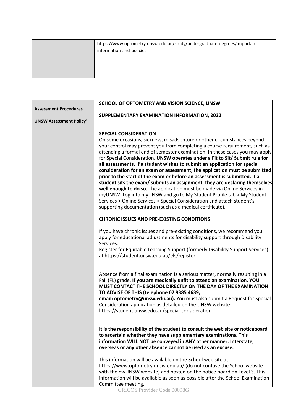| https://www.optometry.unsw.edu.au/study/undergraduate-degrees/important-<br>information-and-policies |
|------------------------------------------------------------------------------------------------------|
|                                                                                                      |

|                                           | SCHOOL OF OPTOMETRY AND VISION SCIENCE, UNSW                                                                                                              |  |  |  |
|-------------------------------------------|-----------------------------------------------------------------------------------------------------------------------------------------------------------|--|--|--|
| <b>Assessment Procedures</b>              |                                                                                                                                                           |  |  |  |
|                                           | SUPPLEMENTARY EXAMINATION INFORMATION, 2022                                                                                                               |  |  |  |
| <b>UNSW Assessment Policy<sup>1</sup></b> |                                                                                                                                                           |  |  |  |
|                                           |                                                                                                                                                           |  |  |  |
|                                           | <b>SPECIAL CONSIDERATION</b>                                                                                                                              |  |  |  |
|                                           | On some occasions, sickness, misadventure or other circumstances beyond                                                                                   |  |  |  |
|                                           | your control may prevent you from completing a course requirement, such as                                                                                |  |  |  |
|                                           | attending a formal end of semester examination. In these cases you may apply                                                                              |  |  |  |
|                                           | for Special Consideration. UNSW operates under a Fit to Sit/ Submit rule for<br>all assessments. If a student wishes to submit an application for special |  |  |  |
|                                           | consideration for an exam or assessment, the application must be submitted                                                                                |  |  |  |
|                                           | prior to the start of the exam or before an assessment is submitted. If a                                                                                 |  |  |  |
|                                           | student sits the exam/ submits an assignment, they are declaring themselves                                                                               |  |  |  |
|                                           | well enough to do so. The application must be made via Online Services in                                                                                 |  |  |  |
|                                           | myUNSW. Log into myUNSW and go to My Student Profile tab > My Student                                                                                     |  |  |  |
|                                           | Services > Online Services > Special Consideration and attach student's                                                                                   |  |  |  |
|                                           | supporting documentation (such as a medical certificate).                                                                                                 |  |  |  |
|                                           |                                                                                                                                                           |  |  |  |
|                                           | <b>CHRONIC ISSUES AND PRE-EXISTING CONDITIONS</b>                                                                                                         |  |  |  |
|                                           | If you have chronic issues and pre-existing conditions, we recommend you                                                                                  |  |  |  |
|                                           | apply for educational adjustments for disability support through Disability                                                                               |  |  |  |
|                                           | Services.                                                                                                                                                 |  |  |  |
|                                           | Register for Equitable Learning Support (formerly Disability Support Services)                                                                            |  |  |  |
|                                           | at https://student.unsw.edu.au/els/register                                                                                                               |  |  |  |
|                                           |                                                                                                                                                           |  |  |  |
|                                           | Absence from a final examination is a serious matter, normally resulting in a                                                                             |  |  |  |
|                                           | Fail (FL) grade. If you are medically unfit to attend an examination, YOU                                                                                 |  |  |  |
|                                           | MUST CONTACT THE SCHOOL DIRECTLY ON THE DAY OF THE EXAMINATION                                                                                            |  |  |  |
|                                           | TO ADVISE OF THIS (telephone 02 9385 4639,                                                                                                                |  |  |  |
|                                           | email: optometry@unsw.edu.au). You must also submit a Request for Special                                                                                 |  |  |  |
|                                           | Consideration application as detailed on the UNSW website:                                                                                                |  |  |  |
|                                           | https://student.unsw.edu.au/special-consideration                                                                                                         |  |  |  |
|                                           |                                                                                                                                                           |  |  |  |
|                                           | It is the responsibility of the student to consult the web site or noticeboard                                                                            |  |  |  |
|                                           | to ascertain whether they have supplementary examinations. This                                                                                           |  |  |  |
|                                           | information WILL NOT be conveyed in ANY other manner. Interstate,                                                                                         |  |  |  |
|                                           | overseas or any other absence cannot be used as an excuse.                                                                                                |  |  |  |
|                                           | This information will be available on the School web site at                                                                                              |  |  |  |
|                                           | https://www.optometry.unsw.edu.au/ (do not confuse the School website                                                                                     |  |  |  |
|                                           | with the myUNSW website) and posted on the notice board on Level 3. This                                                                                  |  |  |  |
|                                           | information will be available as soon as possible after the School Examination                                                                            |  |  |  |
|                                           | Committee meeting.                                                                                                                                        |  |  |  |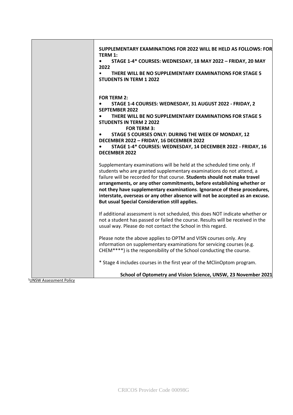|                           | SUPPLEMENTARY EXAMINATIONS FOR 2022 WILL BE HELD AS FOLLOWS: FOR                                                                                                                                                                                                                                                                                                                                                                                                                                                           |
|---------------------------|----------------------------------------------------------------------------------------------------------------------------------------------------------------------------------------------------------------------------------------------------------------------------------------------------------------------------------------------------------------------------------------------------------------------------------------------------------------------------------------------------------------------------|
|                           | <b>TERM 1:</b><br>STAGE 1-4* COURSES: WEDNESDAY, 18 MAY 2022 - FRIDAY, 20 MAY<br>$\bullet$                                                                                                                                                                                                                                                                                                                                                                                                                                 |
|                           | 2022                                                                                                                                                                                                                                                                                                                                                                                                                                                                                                                       |
|                           | THERE WILL BE NO SUPPLEMENTARY EXAMINATIONS FOR STAGE 5<br>$\bullet$<br><b>STUDENTS IN TERM 1 2022</b>                                                                                                                                                                                                                                                                                                                                                                                                                     |
|                           |                                                                                                                                                                                                                                                                                                                                                                                                                                                                                                                            |
|                           | <b>FOR TERM 2:</b>                                                                                                                                                                                                                                                                                                                                                                                                                                                                                                         |
|                           | STAGE 1-4 COURSES: WEDNESDAY, 31 AUGUST 2022 - FRIDAY, 2<br>$\bullet$<br><b>SEPTEMBER 2022</b>                                                                                                                                                                                                                                                                                                                                                                                                                             |
|                           | THERE WILL BE NO SUPPLEMENTARY EXAMINATIONS FOR STAGE 5<br>$\bullet$<br><b>STUDENTS IN TERM 2 2022</b><br><b>FOR TERM 3:</b>                                                                                                                                                                                                                                                                                                                                                                                               |
|                           | STAGE 5 COURSES ONLY: DURING THE WEEK OF MONDAY, 12<br>$\bullet$                                                                                                                                                                                                                                                                                                                                                                                                                                                           |
|                           | DECEMBER 2022 - FRIDAY, 16 DECEMBER 2022<br>STAGE 1-4* COURSES: WEDNESDAY, 14 DECEMBER 2022 - FRIDAY, 16                                                                                                                                                                                                                                                                                                                                                                                                                   |
|                           | <b>DECEMBER 2022</b>                                                                                                                                                                                                                                                                                                                                                                                                                                                                                                       |
|                           | Supplementary examinations will be held at the scheduled time only. If<br>students who are granted supplementary examinations do not attend, a<br>failure will be recorded for that course. Students should not make travel<br>arrangements, or any other commitments, before establishing whether or<br>not they have supplementary examinations. Ignorance of these procedures,<br>interstate, overseas or any other absence will not be accepted as an excuse.<br><b>But usual Special Consideration still applies.</b> |
|                           | If additional assessment is not scheduled, this does NOT indicate whether or<br>not a student has passed or failed the course. Results will be received in the<br>usual way. Please do not contact the School in this regard.                                                                                                                                                                                                                                                                                              |
|                           | Please note the above applies to OPTM and VISN courses only. Any                                                                                                                                                                                                                                                                                                                                                                                                                                                           |
|                           | information on supplementary examinations for servicing courses (e.g.<br>CHEM****) is the responsibility of the School conducting the course.                                                                                                                                                                                                                                                                                                                                                                              |
|                           | * Stage 4 includes courses in the first year of the MClinOptom program.                                                                                                                                                                                                                                                                                                                                                                                                                                                    |
| $HICMLA$ coccoco $A + D0$ | School of Optometry and Vision Science, UNSW, 23 November 2021                                                                                                                                                                                                                                                                                                                                                                                                                                                             |

1UNSW [Assessment](http://www.gs.unsw.edu.au/policy/documents/assessmentpolicy.pdf) [Policy](http://www.gs.unsw.edu.au/policy/documents/assessmentpolicy.pdf)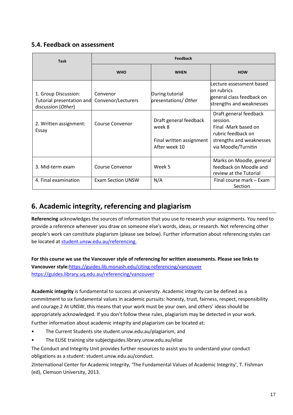## **5.4. Feedback on assessment**

| <b>Task</b>                                                             | <b>Feedback</b>                |                                                                               |                                                                                                                                     |  |  |
|-------------------------------------------------------------------------|--------------------------------|-------------------------------------------------------------------------------|-------------------------------------------------------------------------------------------------------------------------------------|--|--|
|                                                                         | <b>WHO</b>                     | <b>WHEN</b>                                                                   | <b>HOW</b>                                                                                                                          |  |  |
| 1. Group Discussion:<br>Tutorial presentation and<br>discussion (Other) | Convenor<br>Convenor/Lecturers | During tutorial<br>presentations/ Other                                       | Lecture assessment based<br>lon rubrics<br>general class feedback on<br>strengths and weaknesses                                    |  |  |
| 2. Written assignment:<br>Essay                                         | Course Convenor                | Draft general feedback<br>week 8<br>Final written assignment<br>After week 10 | Draft general feedback<br>session.<br>Final -Mark based on<br>rubric feedback on<br>strengths and weaknesses<br>via Moodle/Turnitin |  |  |
| 3. Mid-term exam                                                        | Course Convenor                | Week 5                                                                        | Marks on Moodle, general<br>feedback on Moodle and<br>review at the Tutorial                                                        |  |  |
| 4. Final examination                                                    | <b>Exam Section UNSW</b>       | N/A                                                                           | Final course mark – Exam<br><b>Section</b>                                                                                          |  |  |

# **6. Academic integrity, referencing and plagiarism**

**Referencing** acknowledges the sources of information that you use to research your assignments. You need to provide a reference whenever you draw on someone else's words, ideas, or research. Not referencing other people's work can constitute plagiarism (please see below). Further information about referencing styles can be located a[t student.unsw.edu.au/referencing.](https://student.unsw.edu.au/referencing)

**For this course we use the Vancouver style of referencing for written assessments. Please see links to Vancouver style:**<https://guides.lib.monash.edu/citing-referencing/vancouver> <https://guides.library.uq.edu.au/referencing/vancouver>

**Academic integrity** is fundamental to success at university. Academic integrity can be defined as a commitment to six fundamental values in academic pursuits: honesty, trust, fairness, respect, responsibility and courage.2 At UNSW, this means that your work must be your own, and others' ideas should be appropriately acknowledged. If you don't follow these rules, plagiarism may be detected in your work. Further information about academic integrity and plagiarism can be located at:

- The Current Students site student.unsw.edu.au/plagiarism, and
- The ELISE training site subjectguides.library.unsw.edu.au/elise

The Conduct and Integrity Unit provides further resources to assist you to understand your conduct obligations as a student: student.unsw.edu.au/conduct.

2International Center for Academic Integrity, 'The Fundamental Values of Academic Integrity', T. Fishman (ed), Clemson University, 2013.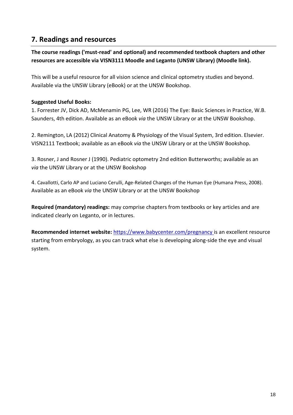## **7. Readings and resources**

**The course readings ('must-read' and optional) and recommended textbook chapters and other resources are accessible via VISN3111 Moodle and Leganto (UNSW Library) (Moodle link).** 

This will be a useful resource for all vision science and clinical optometry studies and beyond. Available via the UNSW Library (eBook) or at the UNSW Bookshop.

### **Suggested Useful Books:**

1. Forrester JV, Dick AD, McMenamin PG, Lee, WR (2016) The Eye: Basic Sciences in Practice, W.B. Saunders, 4th edition. Available as an eBook *via* the UNSW Library or at the UNSW Bookshop.

2. Remington, LA (2012) Clinical Anatomy & Physiology of the Visual System, 3rd edition. Elsevier. VISN2111 Textbook; available as an eBook *via* the UNSW Library or at the UNSW Bookshop.

3. Rosner, J and Rosner J (1990). Pediatric optometry 2nd edition Butterworths; available as an *via* the UNSW Library or at the UNSW Bookshop

4. Cavallotti, Carlo AP and Luciano Cerulli, Age-Related Changes of the Human Eye (Humana Press, 2008). Available as an eBook *via* the UNSW Library or at the UNSW Bookshop

**Required (mandatory) readings:** may comprise chapters from textbooks or key articles and are indicated clearly on Leganto, or in lectures.

**Recommended internet website:** [https://www.babycenter.com/pregnancy i](https://www.babycenter.com/pregnancy)s an excellent resource starting from embryology, as you can track what else is developing along-side the eye and visual system.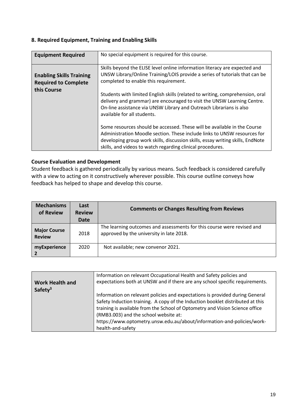#### **8. Required Equipment, Training and Enabling Skills**

| <b>Equipment Required</b>                                      | No special equipment is required for this course.                                                                                                                                                                                                                                                    |  |
|----------------------------------------------------------------|------------------------------------------------------------------------------------------------------------------------------------------------------------------------------------------------------------------------------------------------------------------------------------------------------|--|
| <b>Enabling Skills Training</b><br><b>Required to Complete</b> | Skills beyond the ELISE level online information literacy are expected and<br>UNSW Library/Online Training/LOIS provide a series of tutorials that can be<br>completed to enable this requirement.                                                                                                   |  |
| this Course                                                    | Students with limited English skills (related to writing, comprehension, oral<br>delivery and grammar) are encouraged to visit the UNSW Learning Centre.<br>On-line assistance via UNSW Library and Outreach Librarians is also<br>available for all students.                                       |  |
|                                                                | Some resources should be accessed. These will be available in the Course<br>Administration Moodle section. These include links to UNSW resources for<br>developing group work skills, discussion skills, essay writing skills, EndNote<br>skills, and videos to watch regarding clinical procedures. |  |

#### **Course Evaluation and Development**

Student feedback is gathered periodically by various means. Such feedback is considered carefully with a view to acting on it constructively wherever possible. This course outline conveys how feedback has helped to shape and develop this course.

| <b>Mechanisms</b><br>of Review       | Last<br><b>Review</b><br>Date | <b>Comments or Changes Resulting from Reviews</b>                                                                  |
|--------------------------------------|-------------------------------|--------------------------------------------------------------------------------------------------------------------|
| <b>Major Course</b><br><b>Review</b> | 2018                          | The learning outcomes and assessments for this course were revised and<br>approved by the university in late 2018. |
| myExperience                         | 2020                          | Not available; new convenor 2021.                                                                                  |

| <b>Work Health and</b> | Information on relevant Occupational Health and Safety policies and                                                                                                                                                                                                                                                                                                                    |  |
|------------------------|----------------------------------------------------------------------------------------------------------------------------------------------------------------------------------------------------------------------------------------------------------------------------------------------------------------------------------------------------------------------------------------|--|
| Safety <sup>3</sup>    | expectations both at UNSW and if there are any school specific requirements.                                                                                                                                                                                                                                                                                                           |  |
|                        | Information on relevant policies and expectations is provided during General<br>Safety Induction training. A copy of the Induction booklet distributed at this<br>training is available from the School of Optometry and Vision Science office<br>(RMB3.003) and the school website at:<br>https://www.optometry.unsw.edu.au/about/information-and-policies/work-<br>health-and-safety |  |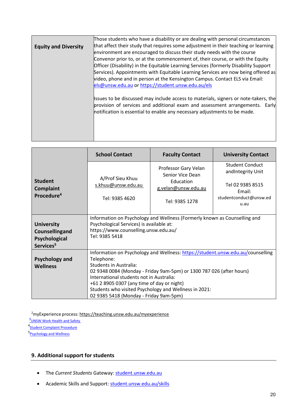|                             | Those students who have a disability or are dealing with personal circumstances                                                                           |  |  |
|-----------------------------|-----------------------------------------------------------------------------------------------------------------------------------------------------------|--|--|
| <b>Equity and Diversity</b> | that affect their study that requires some adjustment in their teaching or learning                                                                       |  |  |
|                             | environment are encouraged to discuss their study needs with the course                                                                                   |  |  |
|                             | Convenor prior to, or at the commencement of, their course, or with the Equity                                                                            |  |  |
|                             | Officer (Disability) in the Equitable Learning Services (formerly Disability Support                                                                      |  |  |
|                             | Services). Appointments with Equitable Learning Services are now being offered as                                                                         |  |  |
|                             | video, phone and in person at the Kensington Campus. Contact ELS via Email:                                                                               |  |  |
|                             | els@unsw.edu.au or https://student.unsw.edu.au/els                                                                                                        |  |  |
|                             |                                                                                                                                                           |  |  |
|                             | Issues to be discussed may include access to materials, signers or note-takers, the                                                                       |  |  |
|                             | provision of services and additional exam and assessment arrangements. Early<br>notification is essential to enable any necessary adjustments to be made. |  |  |
|                             |                                                                                                                                                           |  |  |
|                             |                                                                                                                                                           |  |  |
|                             |                                                                                                                                                           |  |  |
|                             |                                                                                                                                                           |  |  |

|                                                                               | <b>School Contact</b>                                                                                                                                                                                                                                                                                                                              | <b>Faculty Contact</b>                   | <b>University Contact</b>                    |
|-------------------------------------------------------------------------------|----------------------------------------------------------------------------------------------------------------------------------------------------------------------------------------------------------------------------------------------------------------------------------------------------------------------------------------------------|------------------------------------------|----------------------------------------------|
| <b>Student</b><br><b>Complaint</b><br>Procedure <sup>4</sup>                  | A/Prof Sieu Khuu<br>s.khuu@unsw.edu.au<br>Tel: 9385 4620                                                                                                                                                                                                                                                                                           | Professor Gary Velan<br>Senior Vice Dean | <b>Student Conduct</b><br>and Integrity Unit |
|                                                                               |                                                                                                                                                                                                                                                                                                                                                    | Education<br>g.velan@unsw.edu.au         | Tel 02 9385 8515<br>Email:                   |
|                                                                               |                                                                                                                                                                                                                                                                                                                                                    | Tel: 9385 1278                           | studentconduct@unsw.ed<br>u.au               |
| <b>University</b><br>Counsellingand<br>Psychological<br>Services <sup>5</sup> | Information on Psychology and Wellness (Formerly known as Counselling and<br>Psychological Services) is available at:<br>https://www.counselling.unsw.edu.au/<br>Tel: 9385 5418                                                                                                                                                                    |                                          |                                              |
| <b>Psychology and</b><br><b>Wellness</b>                                      | Information on Psychology and Wellness: https://student.unsw.edu.au/counselling<br>Telephone:<br>Students in Australia:<br>02 9348 0084 (Monday - Friday 9am-5pm) or 1300 787 026 (after hours)<br>International students not in Australia:<br>+61 2 8905 0307 (any time of day or night)<br>Students who visited Psychology and Wellness in 2021: |                                          |                                              |
|                                                                               | 02 9385 5418 (Monday - Friday 9am-5pm)                                                                                                                                                                                                                                                                                                             |                                          |                                              |

<sup>2</sup>myExperience process: <https://teaching.unsw.edu.au/myexperience>

**3** UNSW Work Health and Safety

<sup>4</sup>[Student Complaint Procedure](https://student.unsw.edu.au/complaint)

5<sub>[Psychology and Wellness](https://www.student.unsw.edu.au/counselling)</sub>

### **9. Additional support for students**

- The *Current Students* Gateway: [student.unsw.edu.au](https://student.unsw.edu.au/)
- Academic Skills and Support: [student.unsw.edu.au/skills](https://student.unsw.edu.au/skills)